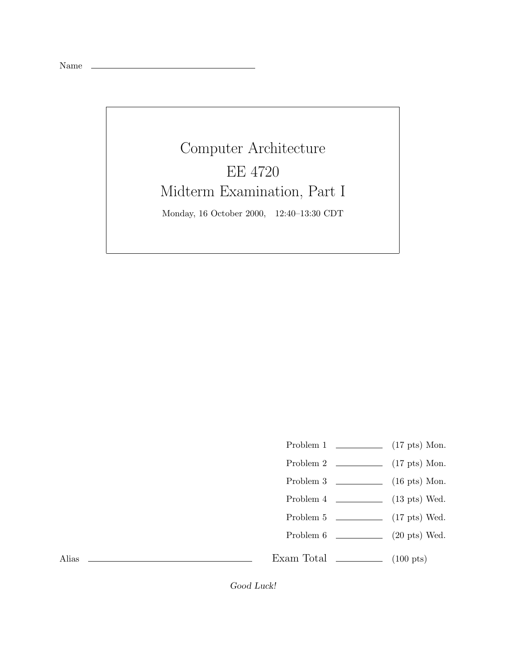Name

## Computer Architecture EE 4720 Midterm Examination, Part I Monday, 16 October 2000, 12:40–13:30 CDT

Problem 1 (17 pts) Mon. Problem 2 (17 pts) Mon. Problem 3  $\qquad \qquad$  (16 pts) Mon. Problem 4 (13 pts) Wed. Problem 5 (17 pts) Wed. Problem 6 (20 pts) Wed. Exam Total  $\qquad \qquad$  (100 pts)

Alias

*Good Luck!*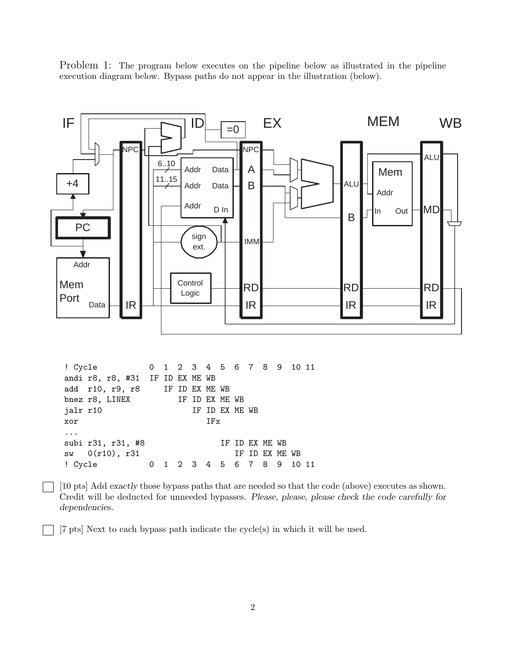Problem 1: The program below executes on the pipeline below as illustrated in the pipeline execution diagram below. Bypass paths do not appear in the illustration (below).



[7 pts] Next to each bypass path indicate the cycle(s) in which it will be used.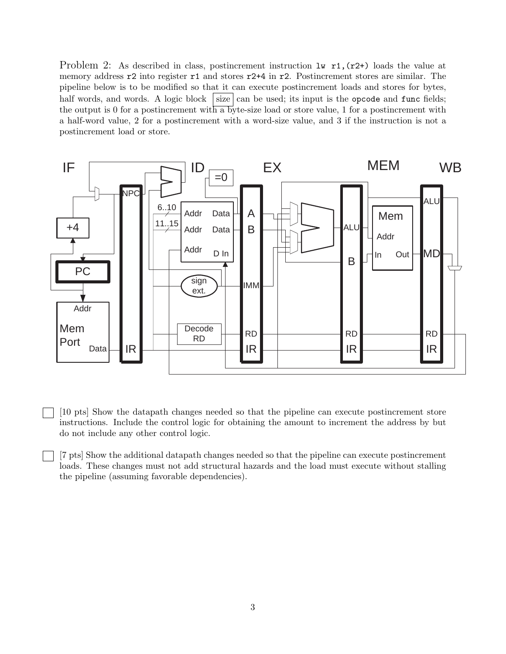Problem 2: As described in class, postincrement instruction  $1\mathbf{w}$  r1, (r2+) loads the value at memory address r2 into register r1 and stores r2+4 in r2. Postincrement stores are similar. The pipeline below is to be modified so that it can execute postincrement loads and stores for bytes, half words, and words. A logic block size can be used; its input is the opcode and func fields; the output is 0 for a postincrement with a byte-size load or store value, 1 for a postincrement with a half-word value, 2 for a postincrement with a word-size value, and 3 if the instruction is not a postincrement load or store.



[10 pts] Show the datapath changes needed so that the pipeline can execute postincrement store instructions. Include the control logic for obtaining the amount to increment the address by but do not include any other control logic.

[7 pts] Show the additional datapath changes needed so that the pipeline can execute postincrement loads. These changes must not add structural hazards and the load must execute without stalling the pipeline (assuming favorable dependencies).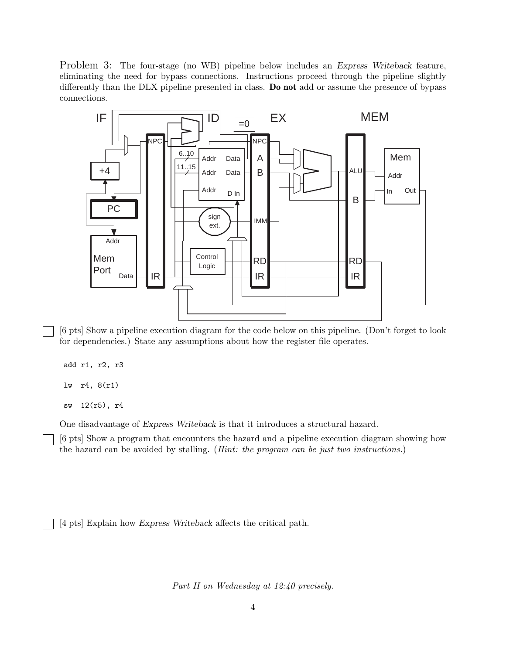Problem 3: The four-stage (no WB) pipeline below includes an *Express Writeback* feature, eliminating the need for bypass connections. Instructions proceed through the pipeline slightly differently than the DLX pipeline presented in class. **Do not** add or assume the presence of bypass connections.



[6 pts] Show a pipeline execution diagram for the code below on this pipeline. (Don't forget to look for dependencies.) State any assumptions about how the register file operates.

add r1, r2, r3

lw r4, 8(r1)

sw 12(r5), r4

One disadvantage of *Express Writeback* is that it introduces a structural hazard.

[6 pts] Show a program that encounters the hazard and a pipeline execution diagram showing how the hazard can be avoided by stalling. (*Hint: the program can be just two instructions.*)

[4 pts] Explain how *Express Writeback* affects the critical path.

*Part II on Wednesday at 12:40 precisely.*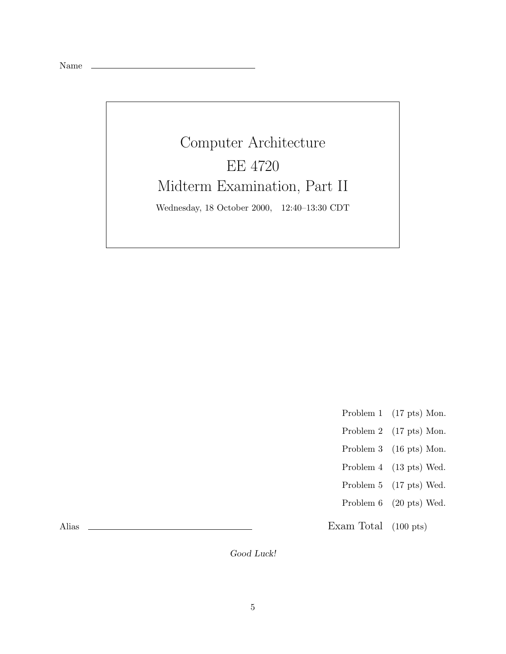|--|--|

## Computer Architecture EE 4720 Midterm Examination, Part II Wednesday, 18 October 2000, 12:40–13:30 CDT

- Problem 1 (17 pts) Mon.
- Problem 2 (17 pts) Mon.
- Problem 3 (16 pts) Mon.
- Problem 4 (13 pts) Wed.
- Problem 5 (17 pts) Wed.
- Problem 6 (20 pts) Wed.

Exam Total (100 pts)

Alias

*Good Luck!*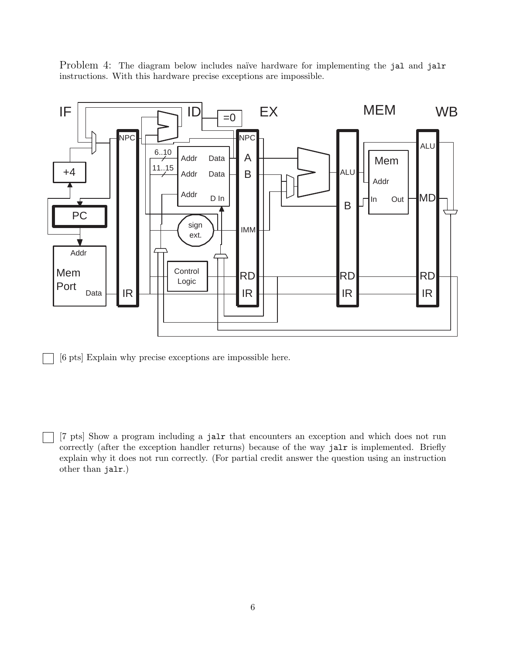Problem 4: The diagram below includes naïve hardware for implementing the jal and jalr instructions. With this hardware precise exceptions are impossible.



[6 pts] Explain why precise exceptions are impossible here.

[7 pts] Show a program including a jalr that encounters an exception and which does not run correctly (after the exception handler returns) because of the way jalr is implemented. Briefly explain why it does not run correctly. (For partial credit answer the question using an instruction other than jalr.)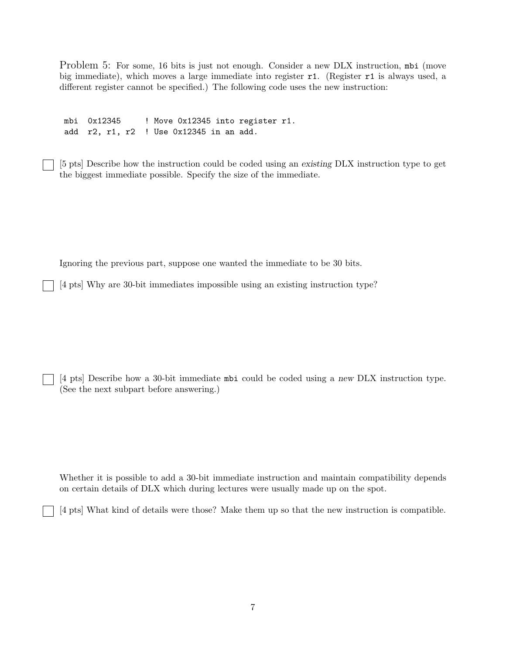Problem 5: For some, 16 bits is just not enough. Consider a new DLX instruction, mbi (move big immediate), which moves a large immediate into register r1. (Register r1 is always used, a different register cannot be specified.) The following code uses the new instruction:

mbi 0x12345 ! Move 0x12345 into register r1. add r2, r1, r2 ! Use 0x12345 in an add.

[5 pts] Describe how the instruction could be coded using an *existing* DLX instruction type to get the biggest immediate possible. Specify the size of the immediate.

Ignoring the previous part, suppose one wanted the immediate to be 30 bits.

[4 pts] Why are 30-bit immediates impossible using an existing instruction type?

[4 pts] Describe how a 30-bit immediate mbi could be coded using a *new* DLX instruction type. (See the next subpart before answering.)

Whether it is possible to add a 30-bit immediate instruction and maintain compatibility depends on certain details of DLX which during lectures were usually made up on the spot.

[4 pts] What kind of details were those? Make them up so that the new instruction is compatible.